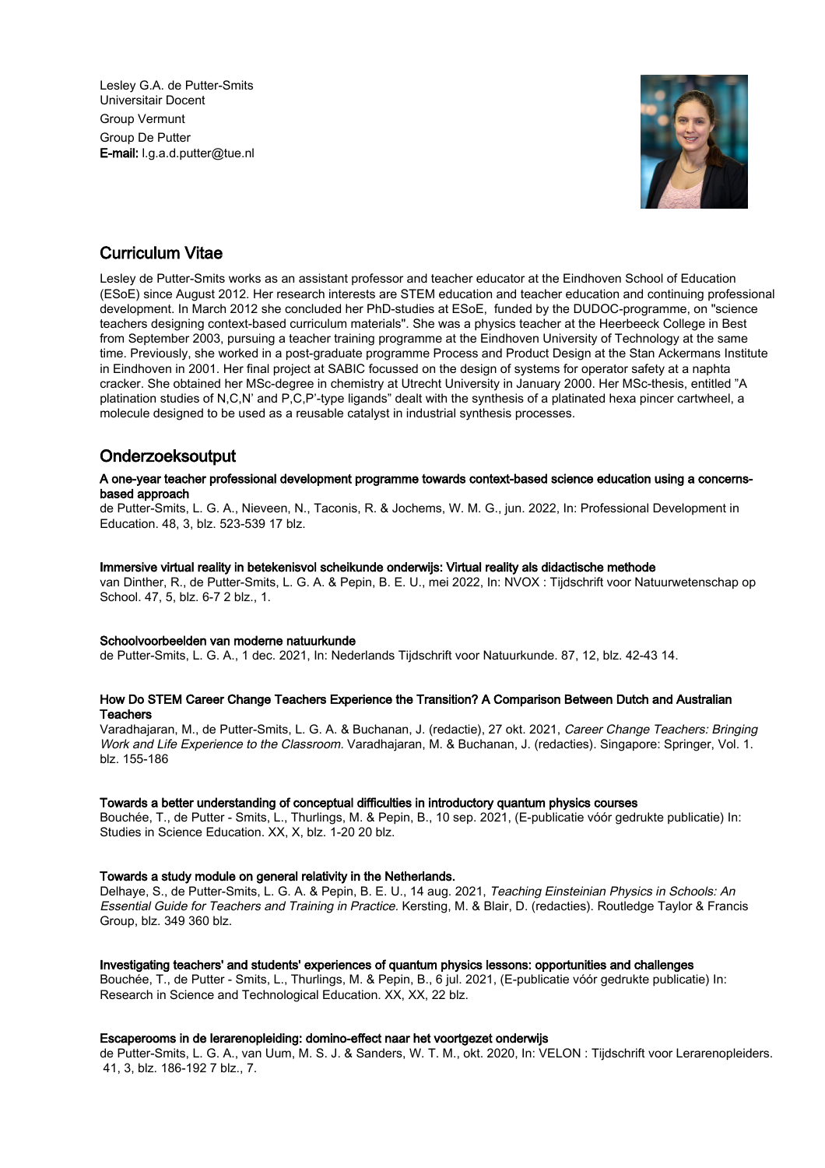Lesley G.A. de Putter-Smits Universitair Docent Group Vermunt Group De Putter E-mail: l.g.a.d.putter@tue.nl



# Curriculum Vitae

Lesley de Putter-Smits works as an assistant professor and teacher educator at the Eindhoven School of Education (ESoE) since August 2012. Her research interests are STEM education and teacher education and continuing professional development. In March 2012 she concluded her PhD-studies at ESoE, funded by the DUDOC-programme, on "science teachers designing context-based curriculum materials". She was a physics teacher at the Heerbeeck College in Best from September 2003, pursuing a teacher training programme at the Eindhoven University of Technology at the same time. Previously, she worked in a post-graduate programme Process and Product Design at the Stan Ackermans Institute in Eindhoven in 2001. Her final project at SABIC focussed on the design of systems for operator safety at a naphta cracker. She obtained her MSc-degree in chemistry at Utrecht University in January 2000. Her MSc-thesis, entitled "A platination studies of N,C,N' and P,C,P'-type ligands" dealt with the synthesis of a platinated hexa pincer cartwheel, a molecule designed to be used as a reusable catalyst in industrial synthesis processes.

# Onderzoeksoutput

#### A one-year teacher professional development programme towards context-based science education using a concernsbased approach

de Putter-Smits, L. G. A., Nieveen, N., Taconis, R. & Jochems, W. M. G., jun. 2022, In: Professional Development in Education. 48, 3, blz. 523-539 17 blz.

#### Immersive virtual reality in betekenisvol scheikunde onderwijs: Virtual reality als didactische methode

van Dinther, R., de Putter-Smits, L. G. A. & Pepin, B. E. U., mei 2022, In: NVOX : Tijdschrift voor Natuurwetenschap op School. 47, 5, blz. 6-7 2 blz., 1.

#### Schoolvoorbeelden van moderne natuurkunde

de Putter-Smits, L. G. A., 1 dec. 2021, In: Nederlands Tijdschrift voor Natuurkunde. 87, 12, blz. 42-43 14.

#### How Do STEM Career Change Teachers Experience the Transition? A Comparison Between Dutch and Australian **Teachers**

Varadhajaran, M., de Putter-Smits, L. G. A. & Buchanan, J. (redactie), 27 okt. 2021, Career Change Teachers: Bringing Work and Life Experience to the Classroom. Varadhajaran, M. & Buchanan, J. (redacties). Singapore: Springer, Vol. 1. blz. 155-186

#### Towards a better understanding of conceptual difficulties in introductory quantum physics courses

Bouchée, T., de Putter - Smits, L., Thurlings, M. & Pepin, B., 10 sep. 2021, (E-publicatie vóór gedrukte publicatie) In: Studies in Science Education. XX, X, blz. 1-20 20 blz.

#### Towards a study module on general relativity in the Netherlands.

Delhaye, S., de Putter-Smits, L. G. A. & Pepin, B. E. U., 14 aug. 2021, Teaching Einsteinian Physics in Schools: An Essential Guide for Teachers and Training in Practice. Kersting, M. & Blair, D. (redacties). Routledge Taylor & Francis Group, blz. 349 360 blz.

#### Investigating teachers' and students' experiences of quantum physics lessons: opportunities and challenges

Bouchée, T., de Putter - Smits, L., Thurlings, M. & Pepin, B., 6 jul. 2021, (E-publicatie vóór gedrukte publicatie) In: Research in Science and Technological Education. XX, XX, 22 blz.

#### Escaperooms in de lerarenopleiding: domino-effect naar het voortgezet onderwijs

de Putter-Smits, L. G. A., van Uum, M. S. J. & Sanders, W. T. M., okt. 2020, In: VELON : Tijdschrift voor Lerarenopleiders. 41, 3, blz. 186-192 7 blz., 7.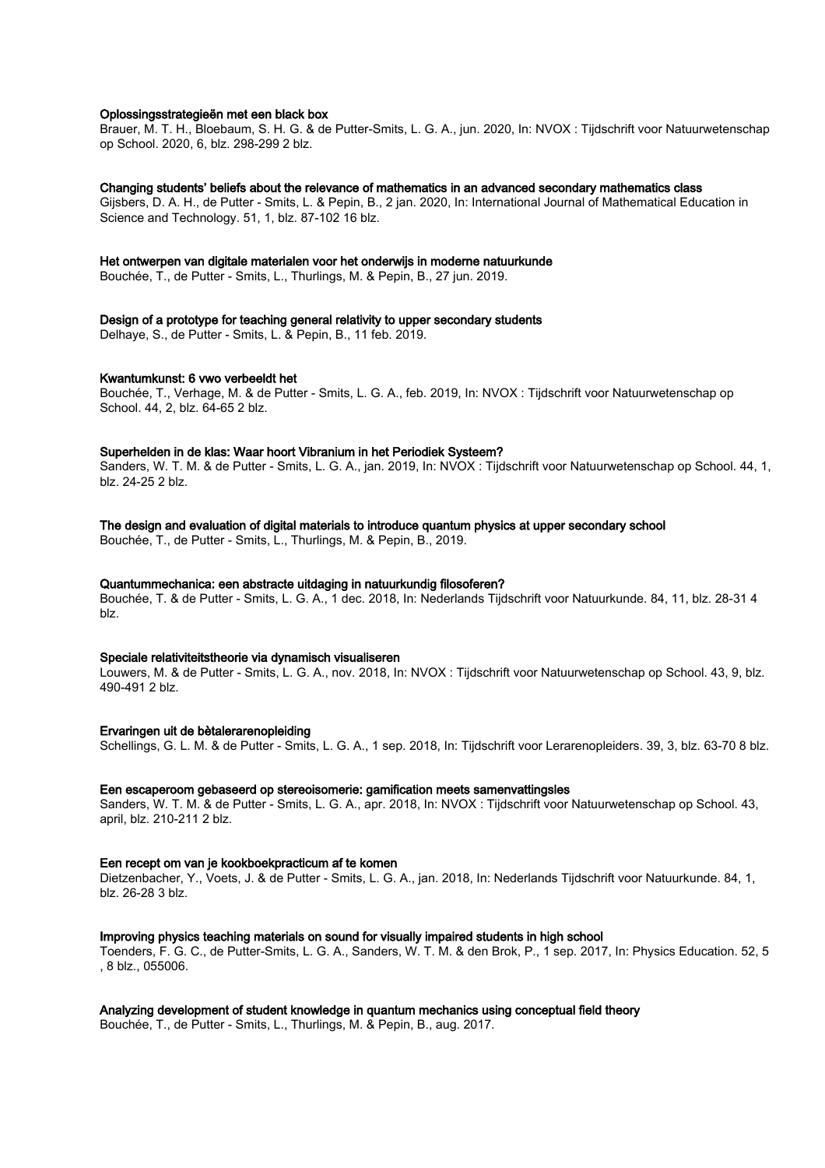#### Oplossingsstrategieën met een black box

Brauer, M. T. H., Bloebaum, S. H. G. & de Putter-Smits, L. G. A., jun. 2020, In: NVOX : Tijdschrift voor Natuurwetenschap op School. 2020, 6, blz. 298-299 2 blz.

#### Changing students' beliefs about the relevance of mathematics in an advanced secondary mathematics class

Gijsbers, D. A. H., de Putter - Smits, L. & Pepin, B., 2 jan. 2020, In: International Journal of Mathematical Education in Science and Technology. 51, 1, blz. 87-102 16 blz.

#### Het ontwerpen van digitale materialen voor het onderwijs in moderne natuurkunde

Bouchée, T., de Putter - Smits, L., Thurlings, M. & Pepin, B., 27 jun. 2019.

### Design of a prototype for teaching general relativity to upper secondary students

Delhaye, S., de Putter - Smits, L. & Pepin, B., 11 feb. 2019.

#### Kwantumkunst: 6 vwo verbeeldt het

Bouchée, T., Verhage, M. & de Putter - Smits, L. G. A., feb. 2019, In: NVOX : Tijdschrift voor Natuurwetenschap op School. 44, 2, blz. 64-65 2 blz.

#### Superhelden in de klas: Waar hoort Vibranium in het Periodiek Systeem?

Sanders, W. T. M. & de Putter - Smits, L. G. A., jan. 2019, In: NVOX : Tijdschrift voor Natuurwetenschap op School. 44, 1, blz. 24-25 2 blz.

#### The design and evaluation of digital materials to introduce quantum physics at upper secondary school

Bouchée, T., de Putter - Smits, L., Thurlings, M. & Pepin, B., 2019.

#### Quantummechanica: een abstracte uitdaging in natuurkundig filosoferen?

Bouchée, T. & de Putter - Smits, L. G. A., 1 dec. 2018, In: Nederlands Tijdschrift voor Natuurkunde. 84, 11, blz. 28-31 4 blz.

#### Speciale relativiteitstheorie via dynamisch visualiseren

Louwers, M. & de Putter - Smits, L. G. A., nov. 2018, In: NVOX : Tijdschrift voor Natuurwetenschap op School. 43, 9, blz. 490-491 2 blz.

#### Ervaringen uit de bètalerarenopleiding

Schellings, G. L. M. & de Putter - Smits, L. G. A., 1 sep. 2018, In: Tijdschrift voor Lerarenopleiders. 39, 3, blz. 63-70 8 blz.

#### Een escaperoom gebaseerd op stereoisomerie: gamification meets samenvattingsles

Sanders, W. T. M. & de Putter - Smits, L. G. A., apr. 2018, In: NVOX : Tijdschrift voor Natuurwetenschap op School. 43, april, blz. 210-211 2 blz.

#### Een recept om van je kookboekpracticum af te komen

Dietzenbacher, Y., Voets, J. & de Putter - Smits, L. G. A., jan. 2018, In: Nederlands Tijdschrift voor Natuurkunde. 84, 1, blz. 26-28 3 blz.

#### Improving physics teaching materials on sound for visually impaired students in high school

Toenders, F. G. C., de Putter-Smits, L. G. A., Sanders, W. T. M. & den Brok, P., 1 sep. 2017, In: Physics Education. 52, 5 , 8 blz., 055006.

#### Analyzing development of student knowledge in quantum mechanics using conceptual field theory

Bouchée, T., de Putter - Smits, L., Thurlings, M. & Pepin, B., aug. 2017.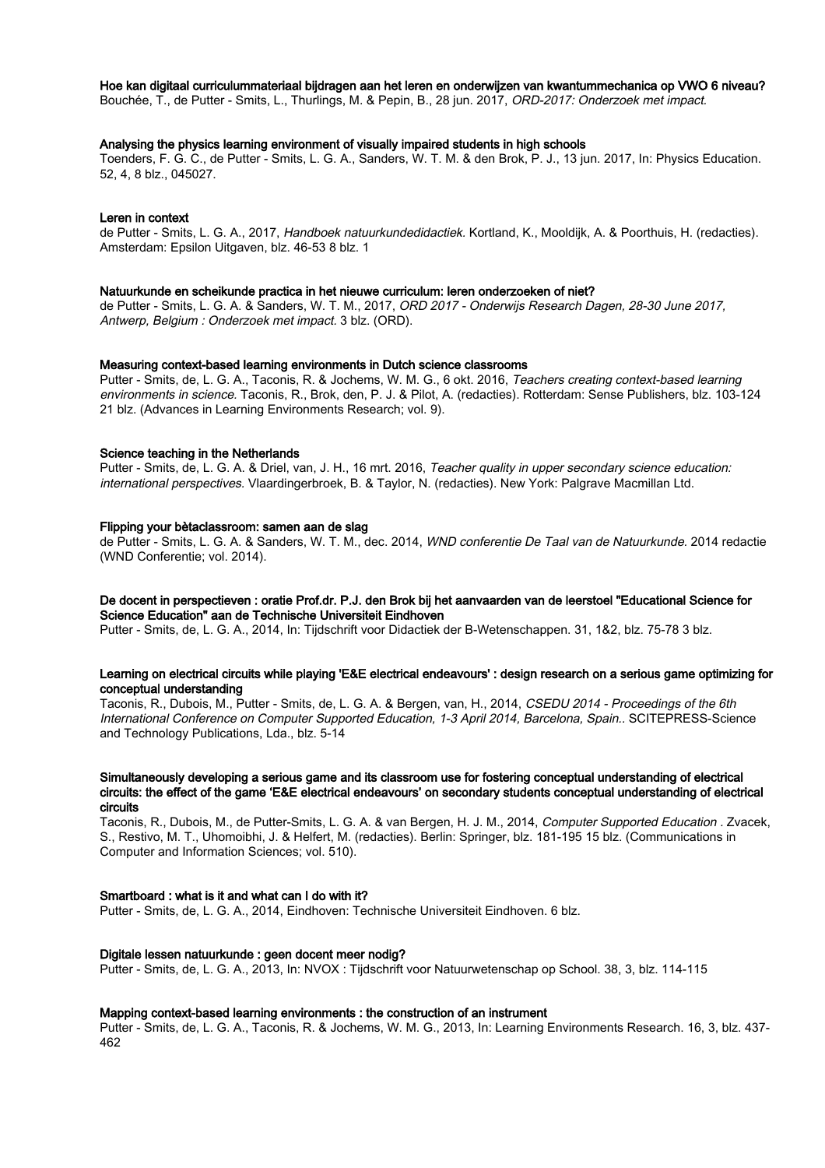#### Hoe kan digitaal curriculummateriaal bijdragen aan het leren en onderwijzen van kwantummechanica op VWO 6 niveau?

Bouchée, T., de Putter - Smits, L., Thurlings, M. & Pepin, B., 28 jun. 2017, ORD-2017: Onderzoek met impact.

#### Analysing the physics learning environment of visually impaired students in high schools

Toenders, F. G. C., de Putter - Smits, L. G. A., Sanders, W. T. M. & den Brok, P. J., 13 jun. 2017, In: Physics Education. 52, 4, 8 blz., 045027.

#### Leren in context

de Putter - Smits, L. G. A., 2017, Handboek natuurkundedidactiek. Kortland, K., Mooldijk, A. & Poorthuis, H. (redacties). Amsterdam: Epsilon Uitgaven, blz. 46-53 8 blz. 1

#### Natuurkunde en scheikunde practica in het nieuwe curriculum: leren onderzoeken of niet?

de Putter - Smits, L. G. A. & Sanders, W. T. M., 2017, ORD 2017 - Onderwijs Research Dagen, 28-30 June 2017, Antwerp, Belgium : Onderzoek met impact. 3 blz. (ORD).

#### Measuring context-based learning environments in Dutch science classrooms

Putter - Smits, de, L. G. A., Taconis, R. & Jochems, W. M. G., 6 okt. 2016, Teachers creating context-based learning environments in science. Taconis, R., Brok, den, P. J. & Pilot, A. (redacties). Rotterdam: Sense Publishers, blz. 103-124 21 blz. (Advances in Learning Environments Research; vol. 9).

#### Science teaching in the Netherlands

Putter - Smits, de, L. G. A. & Driel, van, J. H., 16 mrt. 2016, Teacher quality in upper secondary science education: international perspectives. Vlaardingerbroek, B. & Taylor, N. (redacties). New York: Palgrave Macmillan Ltd.

#### Flipping your bètaclassroom: samen aan de slag

de Putter - Smits, L. G. A. & Sanders, W. T. M., dec. 2014, WND conferentie De Taal van de Natuurkunde. 2014 redactie (WND Conferentie; vol. 2014).

#### De docent in perspectieven : oratie Prof.dr. P.J. den Brok bij het aanvaarden van de leerstoel "Educational Science for Science Education" aan de Technische Universiteit Eindhoven

Putter - Smits, de, L. G. A., 2014, In: Tijdschrift voor Didactiek der B-Wetenschappen. 31, 1&2, blz. 75-78 3 blz.

#### Learning on electrical circuits while playing 'E&E electrical endeavours' : design research on a serious game optimizing for conceptual understanding

Taconis, R., Dubois, M., Putter - Smits, de, L. G. A. & Bergen, van, H., 2014, CSEDU 2014 - Proceedings of the 6th International Conference on Computer Supported Education, 1-3 April 2014, Barcelona, Spain.. SCITEPRESS-Science and Technology Publications, Lda., blz. 5-14

#### Simultaneously developing a serious game and its classroom use for fostering conceptual understanding of electrical circuits: the effect of the game 'E&E electrical endeavours' on secondary students conceptual understanding of electrical circuits

Taconis, R., Dubois, M., de Putter-Smits, L. G. A. & van Bergen, H. J. M., 2014, Computer Supported Education . Zvacek, S., Restivo, M. T., Uhomoibhi, J. & Helfert, M. (redacties). Berlin: Springer, blz. 181-195 15 blz. (Communications in Computer and Information Sciences; vol. 510).

#### Smartboard : what is it and what can I do with it?

Putter - Smits, de, L. G. A., 2014, Eindhoven: Technische Universiteit Eindhoven. 6 blz.

#### Digitale lessen natuurkunde : geen docent meer nodig?

Putter - Smits, de, L. G. A., 2013, In: NVOX : Tijdschrift voor Natuurwetenschap op School. 38, 3, blz. 114-115

#### Mapping context-based learning environments : the construction of an instrument

Putter - Smits, de, L. G. A., Taconis, R. & Jochems, W. M. G., 2013, In: Learning Environments Research. 16, 3, blz. 437- 462